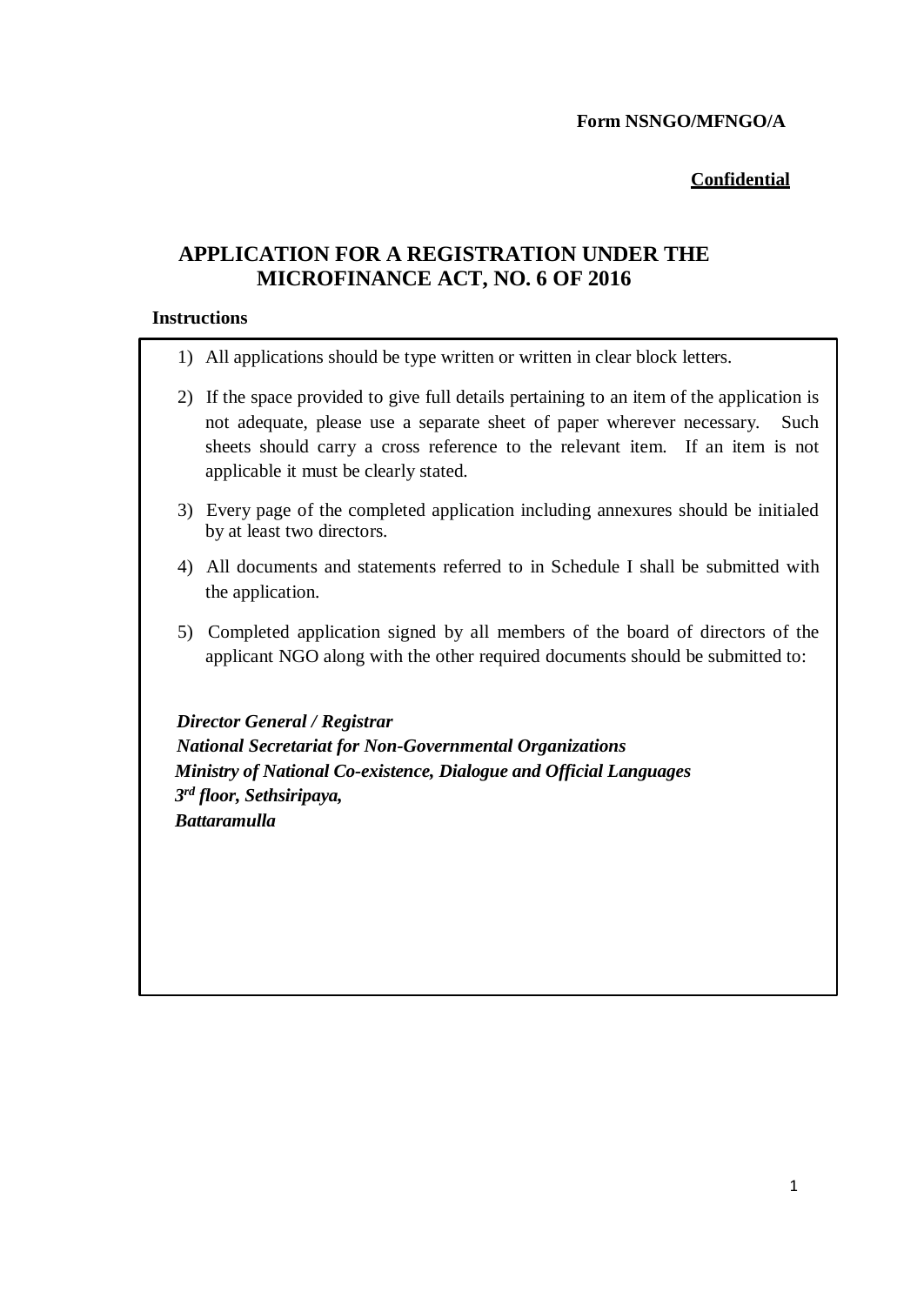# **Confidential**

# **APPLICATION FOR A REGISTRATION UNDER THE MICROFINANCE ACT, NO. 6 OF 2016**

#### **Instructions**

- 1) All applications should be type written or written in clear block letters.
- 2) If the space provided to give full details pertaining to an item of the application is not adequate, please use a separate sheet of paper wherever necessary. Such sheets should carry a cross reference to the relevant item. If an item is not applicable it must be clearly stated.
- 3) Every page of the completed application including annexures should be initialed by at least two directors.
- 4) All documents and statements referred to in Schedule I shall be submitted with the application.
- 5) Completed application signed by all members of the board of directors of the applicant NGO along with the other required documents should be submitted to:

 *Director General / Registrar National Secretariat for Non-Governmental Organizations Ministry of National Co-existence, Dialogue and Official Languages 3 rd floor, Sethsiripaya, Battaramulla*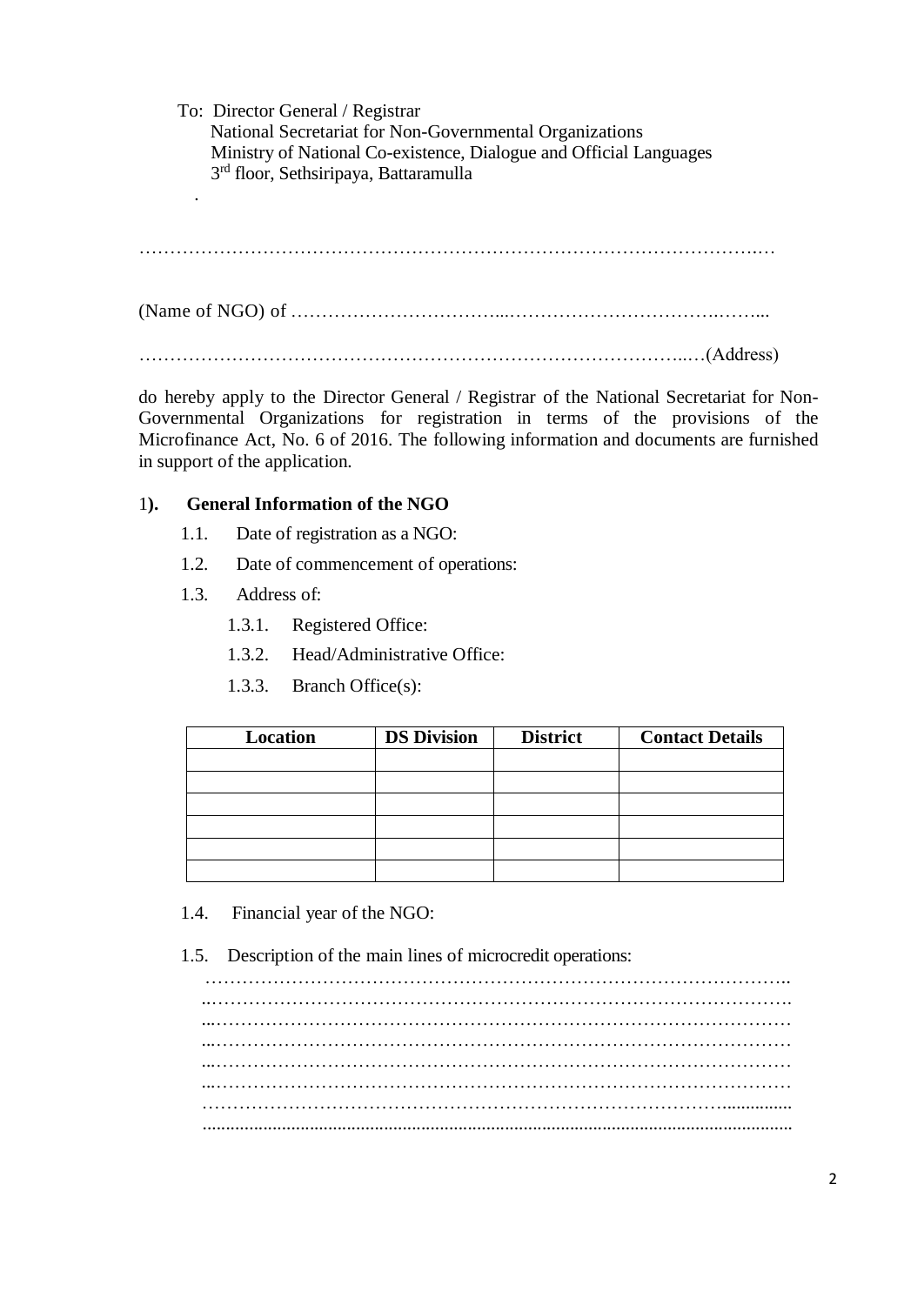To: Director General / Registrar National Secretariat for Non-Governmental Organizations Ministry of National Co-existence, Dialogue and Official Languages 3 rd floor, Sethsiripaya, Battaramulla .

……………………………………………………………………………………….…

(Name of NGO) of ……………………………...…………………………….……...

……………………………………………………………………………..…(Address)

do hereby apply to the Director General / Registrar of the National Secretariat for Non-Governmental Organizations for registration in terms of the provisions of the Microfinance Act, No. 6 of 2016. The following information and documents are furnished in support of the application.

# 1**). General Information of the NGO**

- 1.1. Date of registration as a NGO:
- 1.2. Date of commencement of operations:
- 1.3. Address of:
	- 1.3.1. Registered Office:
	- 1.3.2. Head/Administrative Office:
	- 1.3.3. Branch Office(s):

| Location | <b>DS Division</b> | <b>District</b> | <b>Contact Details</b> |
|----------|--------------------|-----------------|------------------------|
|          |                    |                 |                        |
|          |                    |                 |                        |
|          |                    |                 |                        |
|          |                    |                 |                        |
|          |                    |                 |                        |
|          |                    |                 |                        |

- 1.4. Financial year of the NGO:
- 1.5. Description of the main lines of microcredit operations:

………………………………………………………………………………….. ...………………………………………………………………………………… ...………………………………………………………………………………… ...………………………………………………………………………………… …………………………………………………………………………............... ...............................................................................................................................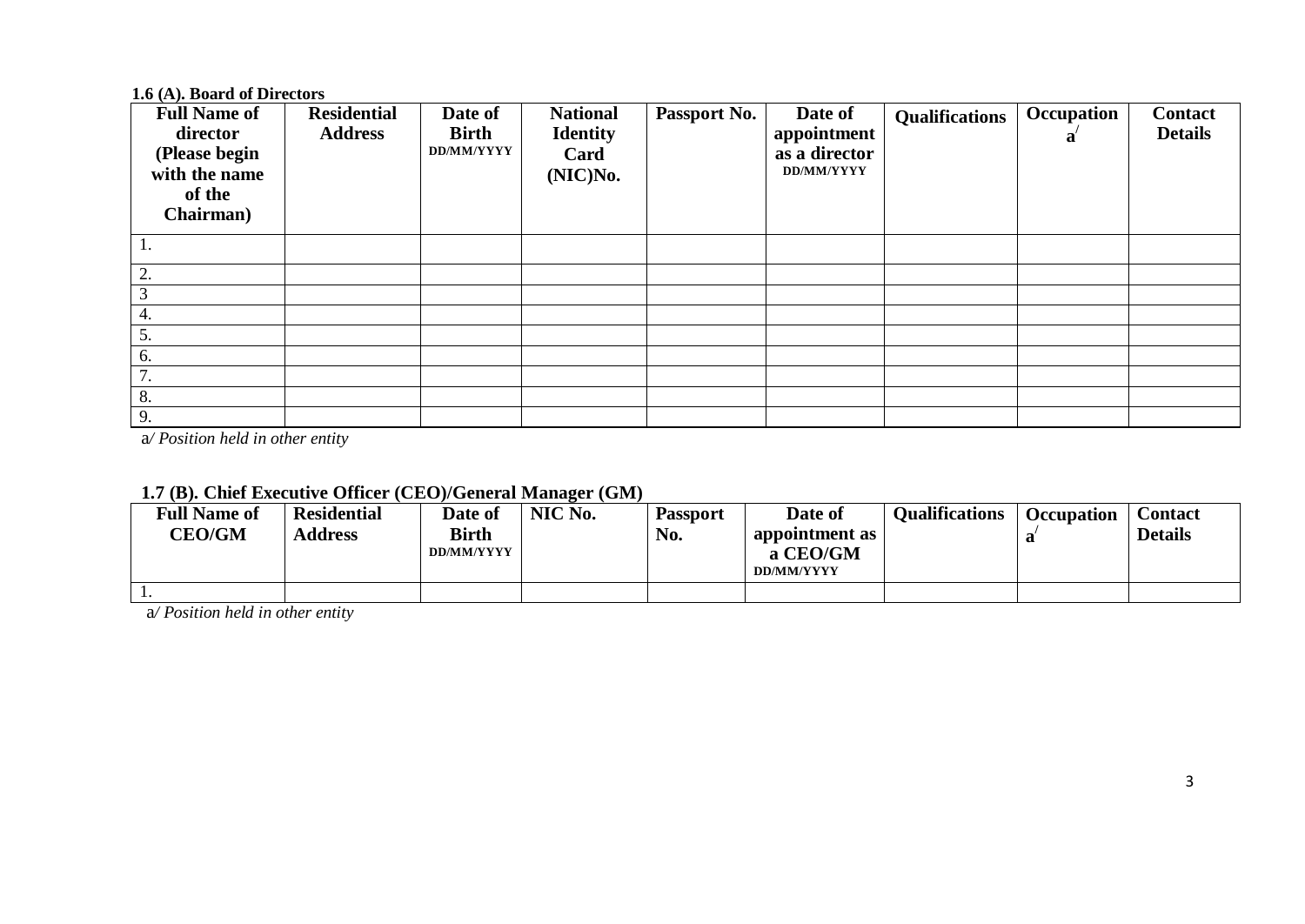## **1.6 (A). Board of Directors**

| <b>Full Name of</b><br>director<br>(Please begin<br>with the name<br>of the<br>Chairman) | <b>Residential</b><br><b>Address</b> | Date of<br><b>Birth</b><br>DD/MM/YYYY | <b>National</b><br><b>Identity</b><br>Card<br>(NIC)No. | Passport No. | Date of<br>appointment<br>as a director<br><b>DD/MM/YYYY</b> | <b>Qualifications</b> | Occupation<br>a | <b>Contact</b><br><b>Details</b> |
|------------------------------------------------------------------------------------------|--------------------------------------|---------------------------------------|--------------------------------------------------------|--------------|--------------------------------------------------------------|-----------------------|-----------------|----------------------------------|
|                                                                                          |                                      |                                       |                                                        |              |                                                              |                       |                 |                                  |
| 2.                                                                                       |                                      |                                       |                                                        |              |                                                              |                       |                 |                                  |
| ⌒                                                                                        |                                      |                                       |                                                        |              |                                                              |                       |                 |                                  |
| 4.                                                                                       |                                      |                                       |                                                        |              |                                                              |                       |                 |                                  |
| 5.                                                                                       |                                      |                                       |                                                        |              |                                                              |                       |                 |                                  |
| 6.                                                                                       |                                      |                                       |                                                        |              |                                                              |                       |                 |                                  |
| 7<br>$\prime$ .                                                                          |                                      |                                       |                                                        |              |                                                              |                       |                 |                                  |
| 8.                                                                                       |                                      |                                       |                                                        |              |                                                              |                       |                 |                                  |
| 9.                                                                                       |                                      |                                       |                                                        |              |                                                              |                       |                 |                                  |

a*/ Position held in other entity*

| <b>Full Name of</b><br><b>CEO/GM</b> | <b>Residential</b><br><b>Address</b> | Date of<br><b>Birth</b><br>DD/MM/YYYY | NIC No. | <b>Passport</b><br>No. | Date of<br>appointment as<br>a CEO/GM<br><b>DD/MM/YYYY</b> | <b>Oualifications</b> | <b>Occupation</b> | Contact<br><b>Details</b> |
|--------------------------------------|--------------------------------------|---------------------------------------|---------|------------------------|------------------------------------------------------------|-----------------------|-------------------|---------------------------|
| . .                                  |                                      |                                       |         |                        |                                                            |                       |                   |                           |

# **1.7 (B). Chief Executive Officer (CEO)/General Manager (GM)**

a*/ Position held in other entity*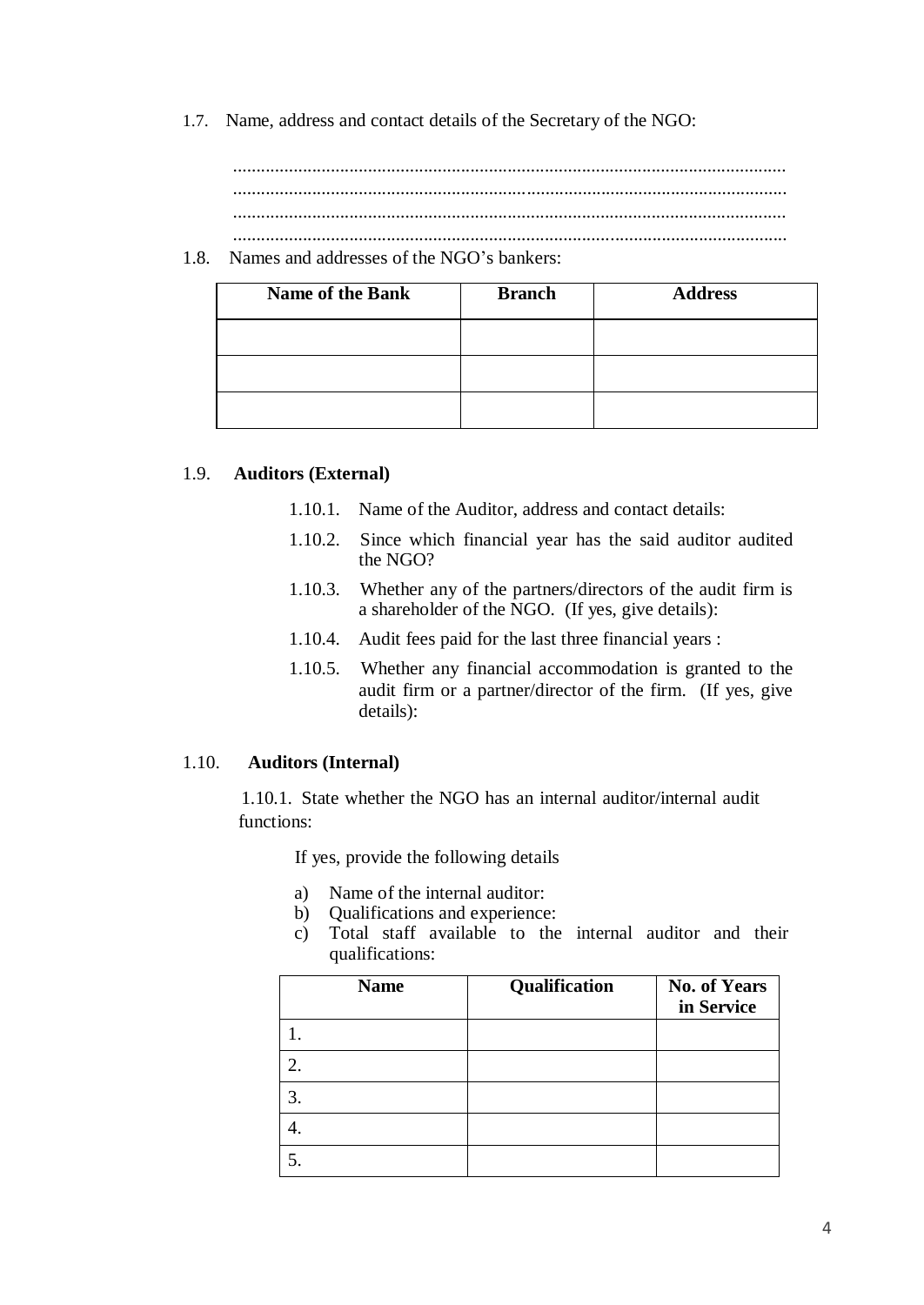1.7. Name, address and contact details of the Secretary of the NGO:

....................................................................................................................... ....................................................................................................................... ....................................................................................................................... .......................................................................................................................

1.8. Names and addresses of the NGO's bankers:

| <b>Name of the Bank</b> | <b>Branch</b> | <b>Address</b> |
|-------------------------|---------------|----------------|
|                         |               |                |
|                         |               |                |
|                         |               |                |

### 1.9. **Auditors (External)**

- 1.10.1. Name of the Auditor, address and contact details:
- 1.10.2. Since which financial year has the said auditor audited the NGO?
- 1.10.3. Whether any of the partners/directors of the audit firm is a shareholder of the NGO. (If yes, give details):
- 1.10.4. Audit fees paid for the last three financial years :
- 1.10.5. Whether any financial accommodation is granted to the audit firm or a partner/director of the firm. (If yes, give details):

#### 1.10. **Auditors (Internal)**

1.10.1. State whether the NGO has an internal auditor/internal audit functions:

If yes, provide the following details

- a) Name of the internal auditor:
- b) Qualifications and experience:
- c) Total staff available to the internal auditor and their qualifications:

| <b>Name</b> | Qualification | <b>No. of Years</b><br>in Service |
|-------------|---------------|-----------------------------------|
|             |               |                                   |
| 2.          |               |                                   |
| 3.          |               |                                   |
|             |               |                                   |
|             |               |                                   |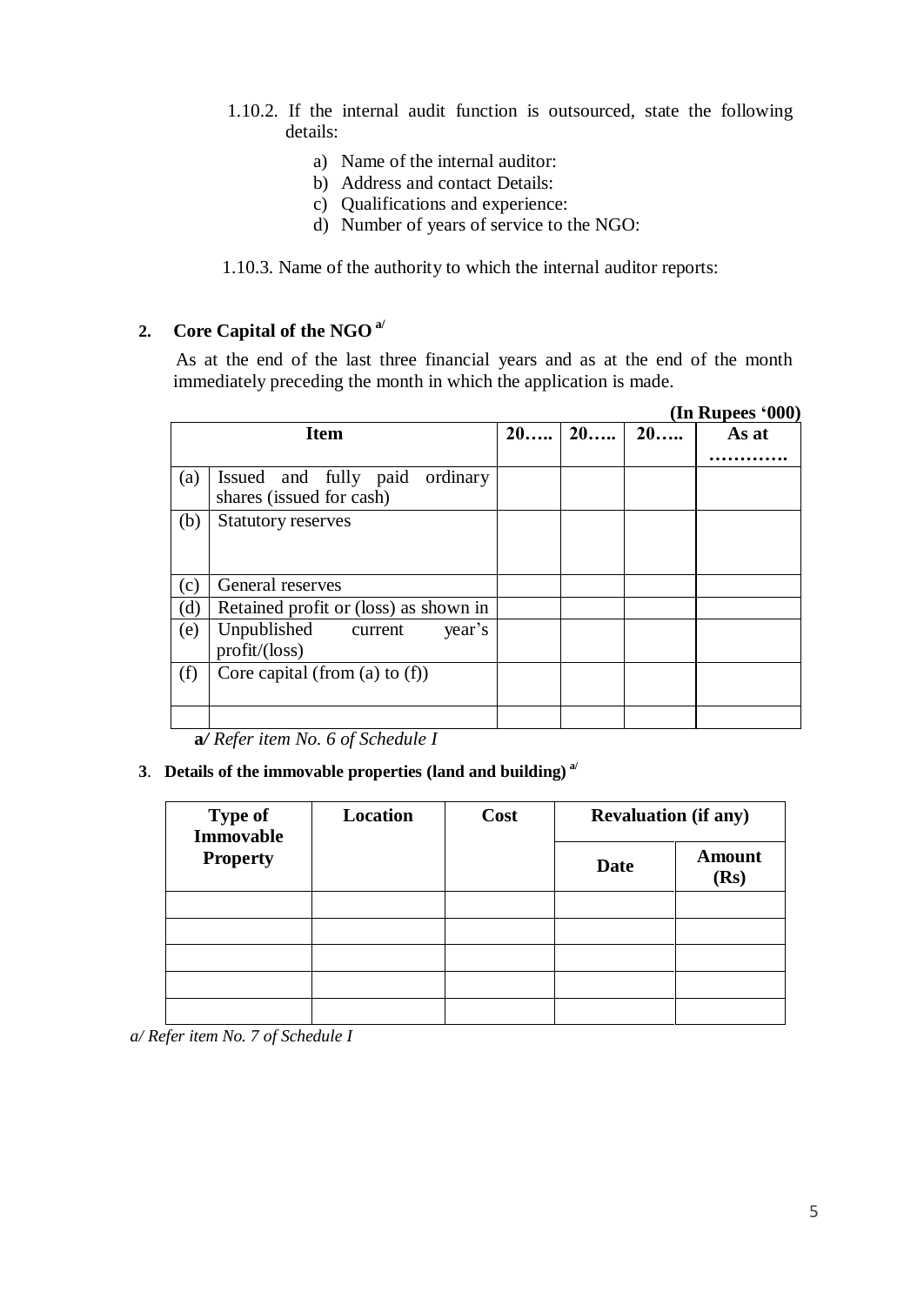- 1.10.2. If the internal audit function is outsourced, state the following details:
	- a) Name of the internal auditor:
	- b) Address and contact Details:
	- c) Qualifications and experience:
	- d) Number of years of service to the NGO:

1.10.3. Name of the authority to which the internal auditor reports:

# **2. Core Capital of the NGO a/**

As at the end of the last three financial years and as at the end of the month immediately preceding the month in which the application is made.

|     |                                                               |    |    |    | (In Rupees '000) |
|-----|---------------------------------------------------------------|----|----|----|------------------|
|     | <b>Item</b>                                                   | 20 | 20 | 20 | As at            |
| (a) | Issued and fully paid<br>ordinary<br>shares (issued for cash) |    |    |    |                  |
| (b) | <b>Statutory reserves</b>                                     |    |    |    |                  |
| (c) | General reserves                                              |    |    |    |                  |
| (d) | Retained profit or (loss) as shown in                         |    |    |    |                  |
| (e) | Unpublished<br>year's<br>current<br>$profit/(\text{loss})$    |    |    |    |                  |
| (f) | Core capital (from (a) to $(f)$ )                             |    |    |    |                  |
|     |                                                               |    |    |    |                  |

**a***/ Refer item No. 6 of Schedule I*

### **3**. **Details of the immovable properties (land and building) a/**

| <b>Type of</b><br><b>Immovable</b> | <b>Location</b> | Cost | <b>Revaluation (if any)</b> |                       |  |  |
|------------------------------------|-----------------|------|-----------------------------|-----------------------|--|--|
| <b>Property</b>                    |                 |      | <b>Date</b>                 | <b>Amount</b><br>(Rs) |  |  |
|                                    |                 |      |                             |                       |  |  |
|                                    |                 |      |                             |                       |  |  |
|                                    |                 |      |                             |                       |  |  |
|                                    |                 |      |                             |                       |  |  |
|                                    |                 |      |                             |                       |  |  |

*a/ Refer item No. 7 of Schedule I*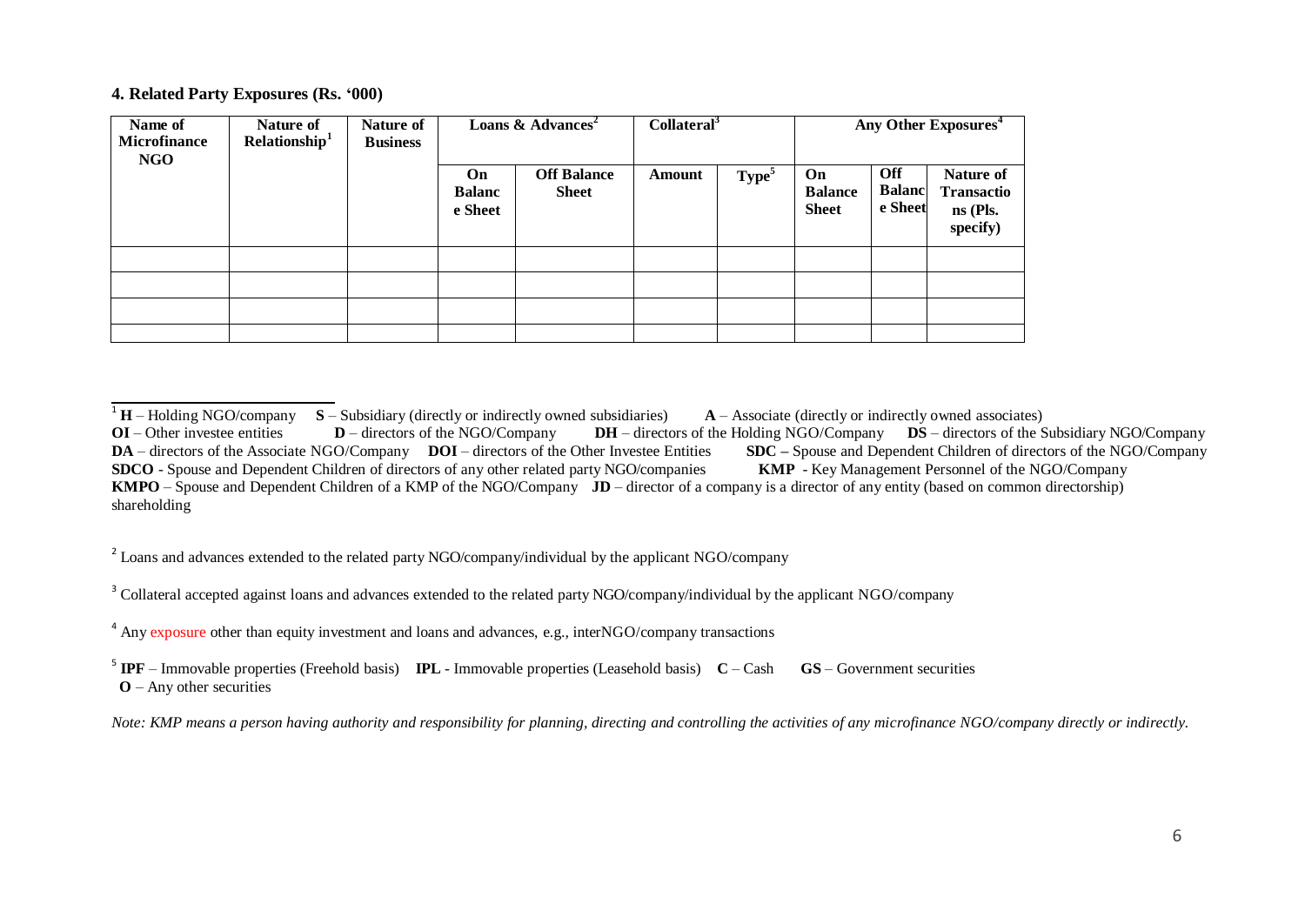#### **4. Related Party Exposures (Rs. '000)**

| Name of<br><b>Microfinance</b><br>NGO | Nature of<br>Relationship <sup>1</sup> | Nature of<br><b>Business</b> | Loans & Advances <sup>2</sup>  |                                    | Collateral <sup>3</sup> |                   | Any Other Exposures <sup>4</sup>     |                                 |                                                        |
|---------------------------------------|----------------------------------------|------------------------------|--------------------------------|------------------------------------|-------------------------|-------------------|--------------------------------------|---------------------------------|--------------------------------------------------------|
|                                       |                                        |                              | On<br><b>Balanc</b><br>e Sheet | <b>Off Balance</b><br><b>Sheet</b> | Amount                  | Type <sup>5</sup> | On<br><b>Balance</b><br><b>Sheet</b> | Off<br><b>Balanc</b><br>e Sheet | Nature of<br><b>Transactio</b><br>ns (Pls.<br>specify) |
|                                       |                                        |                              |                                |                                    |                         |                   |                                      |                                 |                                                        |
|                                       |                                        |                              |                                |                                    |                         |                   |                                      |                                 |                                                        |
|                                       |                                        |                              |                                |                                    |                         |                   |                                      |                                 |                                                        |
|                                       |                                        |                              |                                |                                    |                         |                   |                                      |                                 |                                                        |

<sup>2</sup> Loans and advances extended to the related party NGO/company/individual by the applicant NGO/company

<sup>3</sup> Collateral accepted against loans and advances extended to the related party NGO/company/individual by the applicant NGO/company

5 **IPF** – Immovable properties (Freehold basis) **IPL** - Immovable properties (Leasehold basis) **C** – Cash **GS** – Government securities  **O** – Any other securities

<sup>&</sup>lt;sup>1</sup> **H** – Holding NGO/company **S** – Subsidiary (directly or indirectly owned subsidiaries) **A** – Associate (directly or indirectly owned associates) **OI** – Other investee entities **D** – directors of the NGO/Company **DH** – **DH** – directors of the Holding NGO/Company **DS** – directors of the Subsidiary NGO/Company leer Investee Entities **SDC** – Spouse and Dependent Children of directors of the NGO/Company **DA** – directors of the Associate NGO/Company **DOI** – directors of the Other Investee Entities **SDC** – Spouse and Dependent Children of directors of the NG<br>**SDCO** - Spouse and Dependent Children of directors of any other r **SDCO** - Spouse and Dependent Children of directors of any other related party NGO/companies **KMPO** – Spouse and Dependent Children of a KMP of the NGO/Company **JD** – director of a company is a director of any entity (based on common directorship) shareholding

<sup>&</sup>lt;sup>4</sup> Any exposure other than equity investment and loans and advances, e.g., interNGO/company transactions

Note: KMP means a person having authority and responsibility for planning, directing and controlling the activities of any microfinance NGO/company directly or indirectly.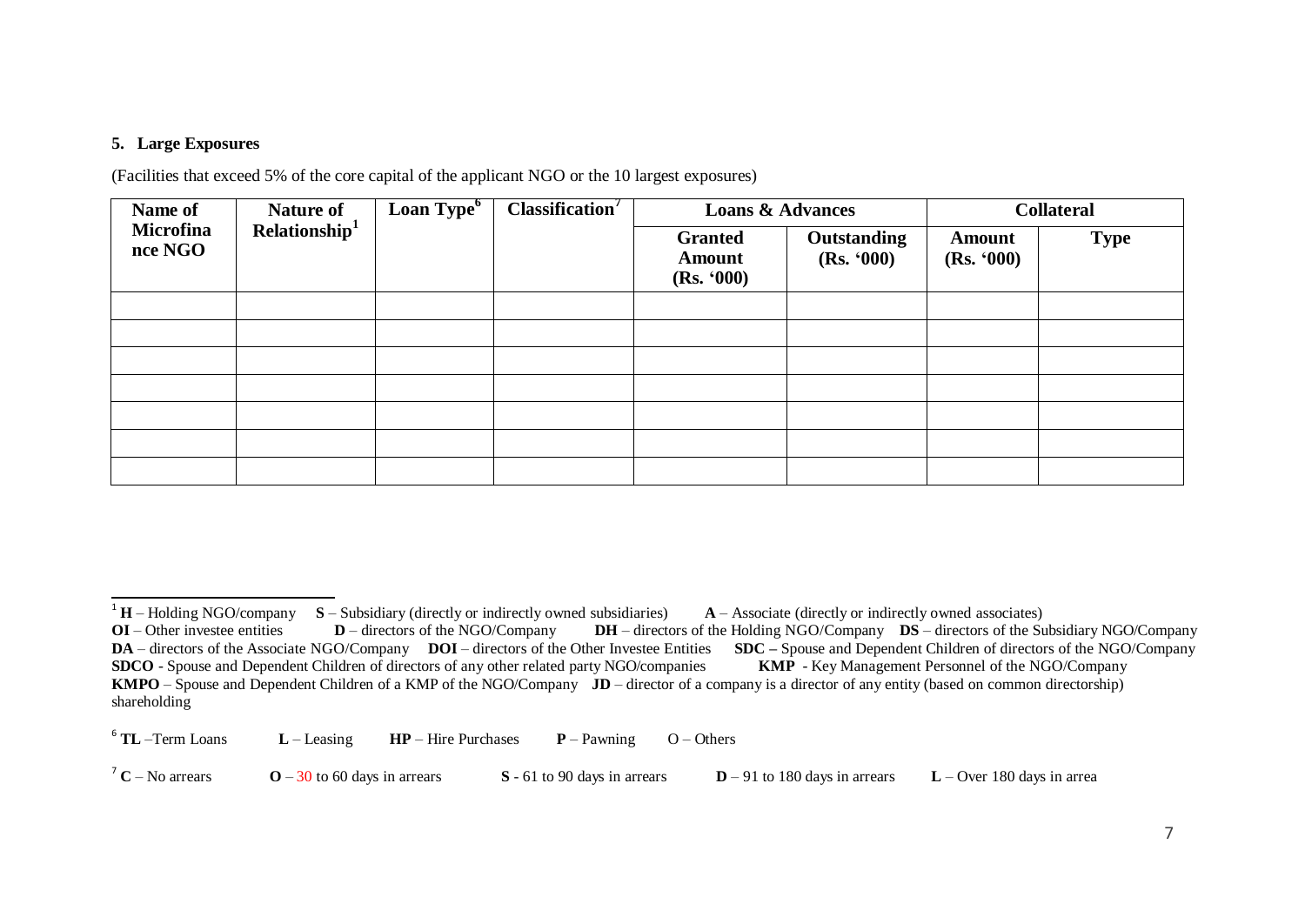#### **5. Large Exposures**

(Facilities that exceed 5% of the core capital of the applicant NGO or the 10 largest exposures)

| Name of              | <b>Nature of</b><br>Relationship <sup>1</sup> | Loan Type <sup>6</sup> | Classification <sup>7</sup> | <b>Loans &amp; Advances</b>                   |                                  | <b>Collateral</b>           |             |
|----------------------|-----------------------------------------------|------------------------|-----------------------------|-----------------------------------------------|----------------------------------|-----------------------------|-------------|
| Microfina<br>nce NGO |                                               |                        |                             | <b>Granted</b><br><b>Amount</b><br>(Rs. '000) | <b>Outstanding</b><br>(Rs. '000) | <b>Amount</b><br>(Rs. '000) | <b>Type</b> |
|                      |                                               |                        |                             |                                               |                                  |                             |             |
|                      |                                               |                        |                             |                                               |                                  |                             |             |
|                      |                                               |                        |                             |                                               |                                  |                             |             |
|                      |                                               |                        |                             |                                               |                                  |                             |             |
|                      |                                               |                        |                             |                                               |                                  |                             |             |
|                      |                                               |                        |                             |                                               |                                  |                             |             |
|                      |                                               |                        |                             |                                               |                                  |                             |             |

 $6$  TL -Term Loans  $L$  – Leasing **HP** – Hire Purchases **P** – Pawning O – Others

<sup>7</sup> **C** – No arrears **O** – 30 to 60 days in arrears **S** - 61 to 90 days in arrears **D** – 91 to 180 days in arrears **L** – Over 180 days in arrea

<sup>&</sup>lt;sup>1</sup> **H** – Holding NGO/company **S** – Subsidiary (directly or indirectly owned subsidiaries) **A** – Associate (directly or indirectly owned associates)

**OI** – Other investee entities **D** – directors of the NGO/Company **DH** – directors of the Holding NGO/Company **DS** – directors of the Subsidiary NGO/Company **DA** – directors of the Associate NGO/Company **DOI** – directors o **DA** – directors of the Associate NGO/Company **DOI** – directors of the Other Investee Entities **SDCO** - Spouse and Dependent Children of directors of any other related party NGO/companies **KMP** - Key Management Personnel of the NGO/Company **KMPO** – Spouse and Dependent Children of a KMP of the NGO/Company **JD** – director of a company is a director of any entity (based on common directorship) shareholding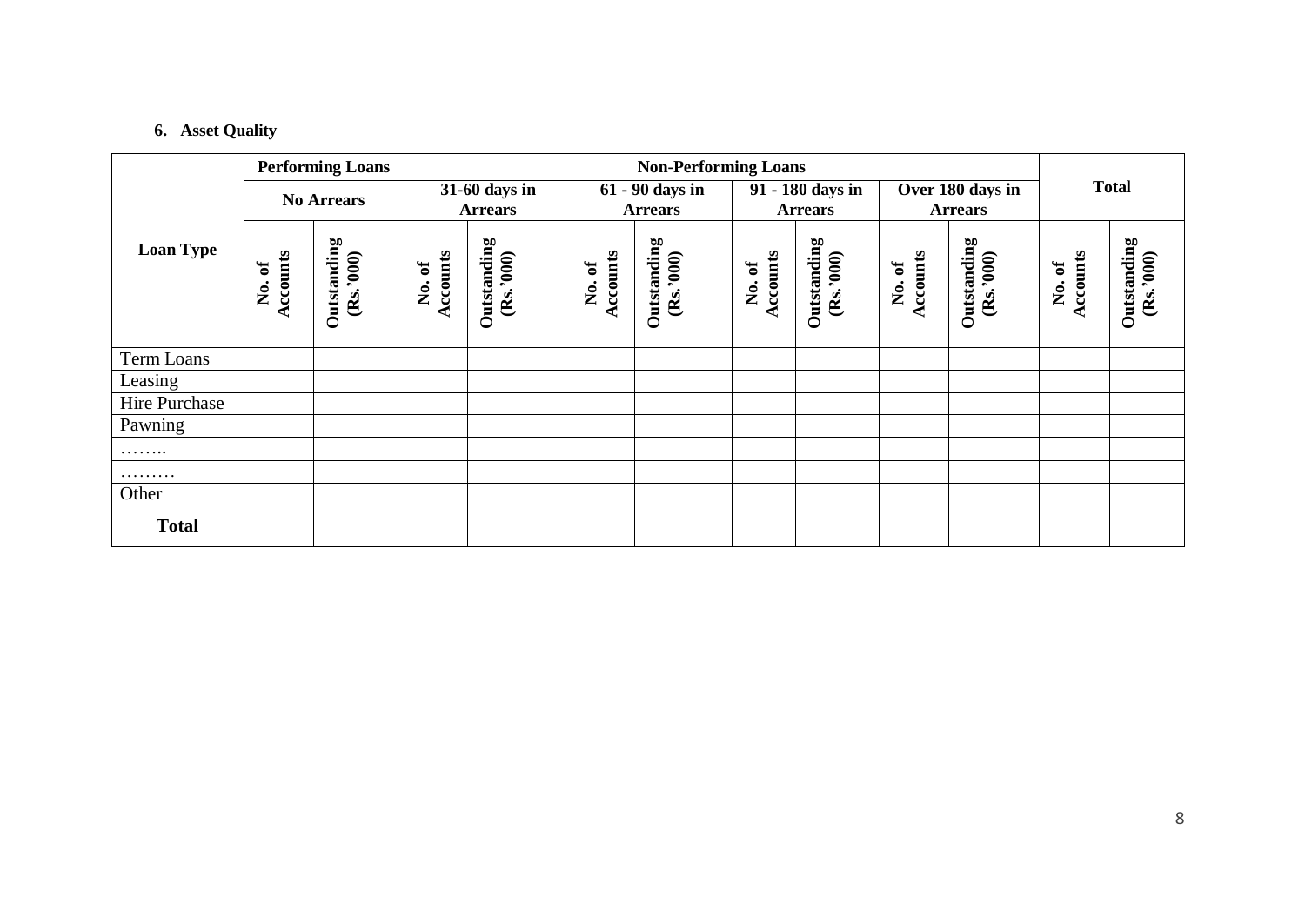# **6. Asset Quality**

|                  | <b>Performing Loans</b>             |                          |                   | <b>Non-Performing Loans</b>     |                    |                                   |                    |                                    |                    |                                    |                         |                         |  |
|------------------|-------------------------------------|--------------------------|-------------------|---------------------------------|--------------------|-----------------------------------|--------------------|------------------------------------|--------------------|------------------------------------|-------------------------|-------------------------|--|
|                  |                                     | <b>No Arrears</b>        |                   | 31-60 days in<br><b>Arrears</b> |                    | 61 - 90 days in<br><b>Arrears</b> |                    | 91 - 180 days in<br><b>Arrears</b> |                    | Over 180 days in<br><b>Arrears</b> |                         | <b>Total</b>            |  |
| <b>Loan Type</b> | Accounts<br>ð<br>$\dot{\mathsf{z}}$ | Outstanding<br>(Rs.3000) | Accounts<br>No.of | Outstanding<br>(Rs.3000)        | Accounts<br>No. of | Outstanding<br>(Rs.3000)          | Accounts<br>No. of | Outstanding<br>(Rs.3000)           | Accounts<br>No. of | Outstanding<br>(Rs.3000)           | Accounts<br>ð<br>,<br>Š | Outstanding<br>(Rs.300) |  |
| Term Loans       |                                     |                          |                   |                                 |                    |                                   |                    |                                    |                    |                                    |                         |                         |  |
| Leasing          |                                     |                          |                   |                                 |                    |                                   |                    |                                    |                    |                                    |                         |                         |  |
| Hire Purchase    |                                     |                          |                   |                                 |                    |                                   |                    |                                    |                    |                                    |                         |                         |  |
| Pawning          |                                     |                          |                   |                                 |                    |                                   |                    |                                    |                    |                                    |                         |                         |  |
| .                |                                     |                          |                   |                                 |                    |                                   |                    |                                    |                    |                                    |                         |                         |  |
| .                |                                     |                          |                   |                                 |                    |                                   |                    |                                    |                    |                                    |                         |                         |  |
| Other            |                                     |                          |                   |                                 |                    |                                   |                    |                                    |                    |                                    |                         |                         |  |
| <b>Total</b>     |                                     |                          |                   |                                 |                    |                                   |                    |                                    |                    |                                    |                         |                         |  |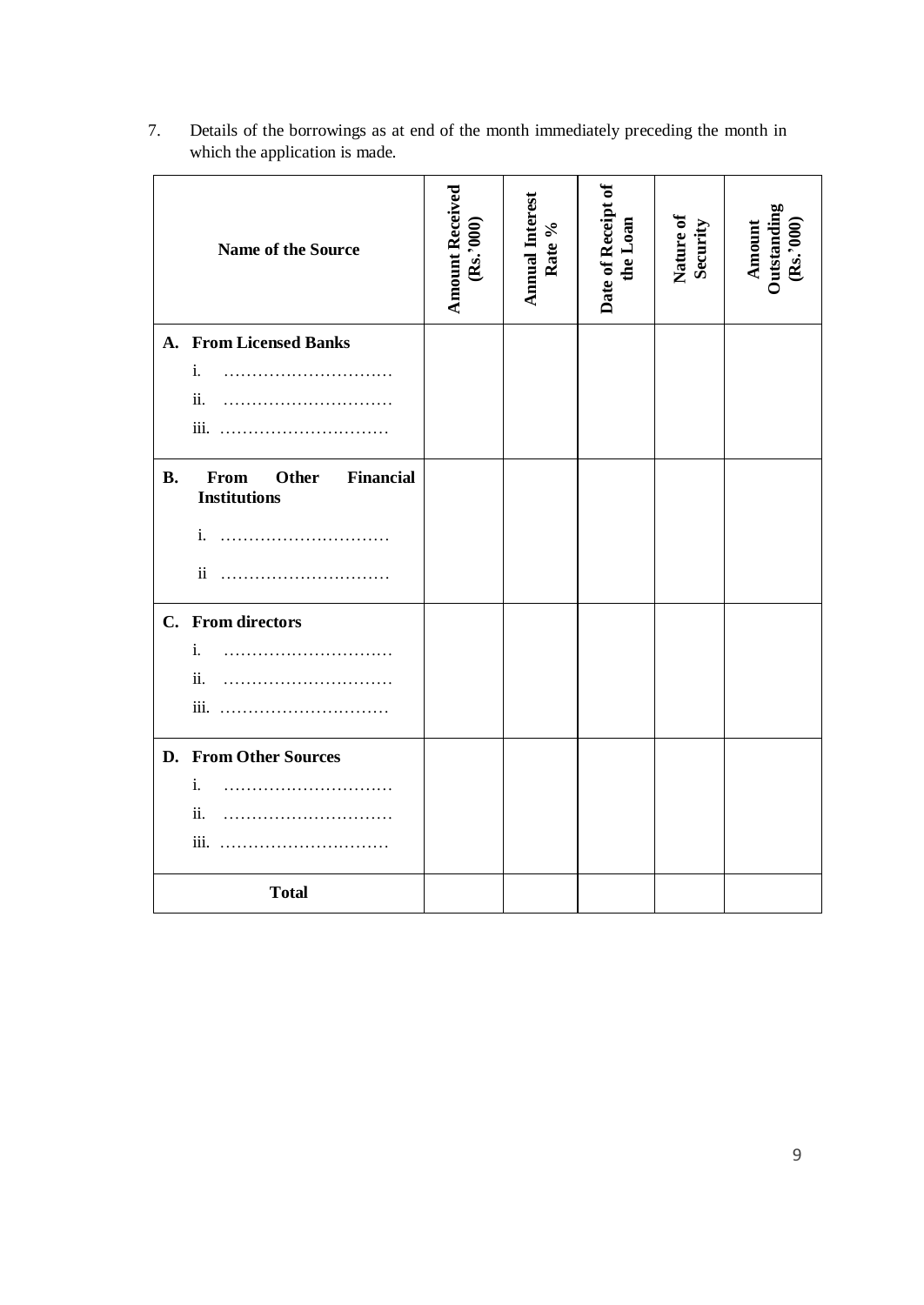|           | Name of the Source                                              | <b>Amount Received</b><br>(Rs.3000) | Annual Interest<br>Rate % | Date of Receipt of<br>the Loan | Nature of<br>Security | Amount<br>Outstanding<br>(Rs.'000) |
|-----------|-----------------------------------------------------------------|-------------------------------------|---------------------------|--------------------------------|-----------------------|------------------------------------|
| A.        | <b>From Licensed Banks</b>                                      |                                     |                           |                                |                       |                                    |
|           | i.                                                              |                                     |                           |                                |                       |                                    |
|           | ii.                                                             |                                     |                           |                                |                       |                                    |
|           |                                                                 |                                     |                           |                                |                       |                                    |
| <b>B.</b> | From<br><b>Other</b><br><b>Financial</b><br><b>Institutions</b> |                                     |                           |                                |                       |                                    |
|           | i.                                                              |                                     |                           |                                |                       |                                    |
|           | $\mathbf{ii}$                                                   |                                     |                           |                                |                       |                                    |
|           | C. From directors                                               |                                     |                           |                                |                       |                                    |
|           | i.                                                              |                                     |                           |                                |                       |                                    |
|           | ii.                                                             |                                     |                           |                                |                       |                                    |
|           |                                                                 |                                     |                           |                                |                       |                                    |
|           | D. From Other Sources                                           |                                     |                           |                                |                       |                                    |
|           | i.                                                              |                                     |                           |                                |                       |                                    |
|           | ii.                                                             |                                     |                           |                                |                       |                                    |
|           |                                                                 |                                     |                           |                                |                       |                                    |
|           | <b>Total</b>                                                    |                                     |                           |                                |                       |                                    |

7. Details of the borrowings as at end of the month immediately preceding the month in which the application is made.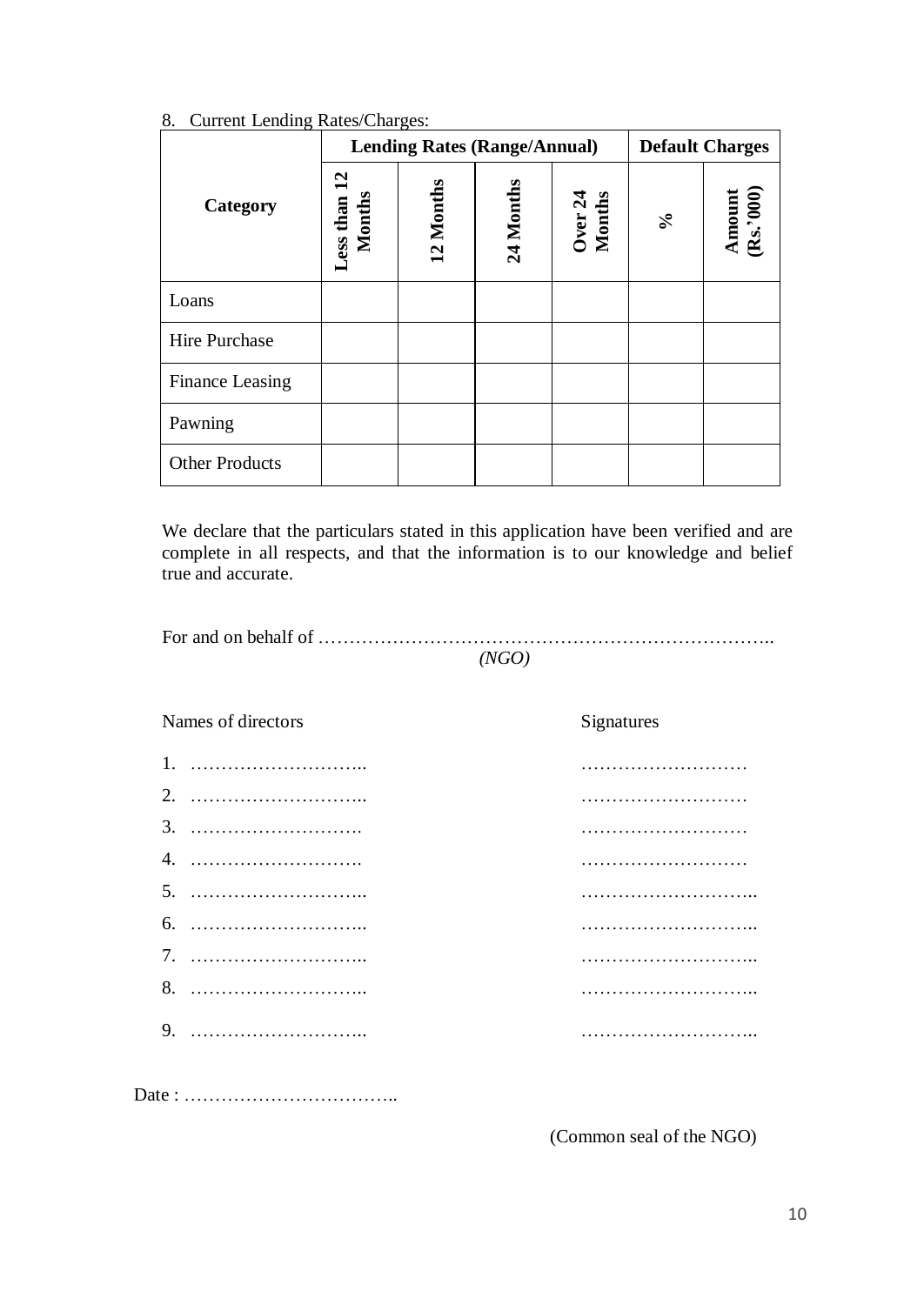|                       | $\cdots$               | <b>Lending Rates (Range/Annual)</b> |           |                   | <b>Default Charges</b>  |                     |  |
|-----------------------|------------------------|-------------------------------------|-----------|-------------------|-------------------------|---------------------|--|
| Category              | Less than 12<br>Months | 12 Months                           | 24 Months | Over 24<br>Months | $\mathcal{S}_{\bullet}$ | Amount<br>(Rs.'000) |  |
| Loans                 |                        |                                     |           |                   |                         |                     |  |
| Hire Purchase         |                        |                                     |           |                   |                         |                     |  |
| Finance Leasing       |                        |                                     |           |                   |                         |                     |  |
| Pawning               |                        |                                     |           |                   |                         |                     |  |
| <b>Other Products</b> |                        |                                     |           |                   |                         |                     |  |

### 8. Current Lending Rates/Charges:

We declare that the particulars stated in this application have been verified and are complete in all respects, and that the information is to our knowledge and belief true and accurate.

| (NGO) |
|-------|

| Names of directors | Signatures |
|--------------------|------------|
| $1_{-}$            |            |
| 2.                 |            |
|                    |            |
| 4.                 |            |
|                    |            |
|                    |            |
|                    |            |
|                    |            |
|                    | .          |
|                    |            |
|                    |            |

(Common seal of the NGO)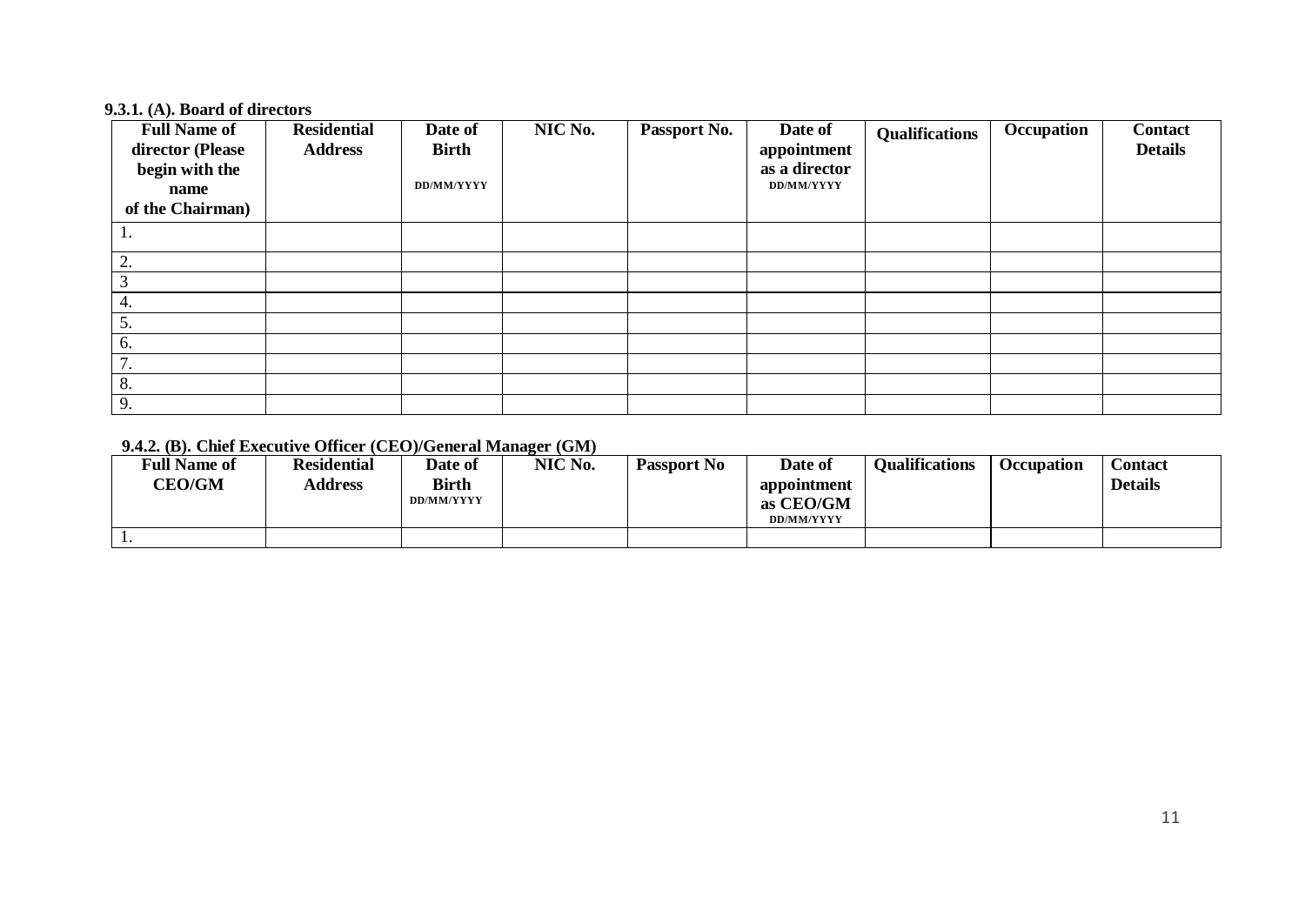#### **9.3.1. (A). Board of directors**

| <b>Full Name of</b><br>director (Please<br>begin with the<br>name<br>of the Chairman) | <b>Residential</b><br><b>Address</b> | Date of<br><b>Birth</b><br>DD/MM/YYYY | NIC No. | Passport No. | Date of<br>appointment<br>as a director<br>DD/MM/YYYY | <b>Qualifications</b> | Occupation | <b>Contact</b><br><b>Details</b> |
|---------------------------------------------------------------------------------------|--------------------------------------|---------------------------------------|---------|--------------|-------------------------------------------------------|-----------------------|------------|----------------------------------|
|                                                                                       |                                      |                                       |         |              |                                                       |                       |            |                                  |
|                                                                                       |                                      |                                       |         |              |                                                       |                       |            |                                  |
| 2.                                                                                    |                                      |                                       |         |              |                                                       |                       |            |                                  |
|                                                                                       |                                      |                                       |         |              |                                                       |                       |            |                                  |
| 4.                                                                                    |                                      |                                       |         |              |                                                       |                       |            |                                  |
| 5.                                                                                    |                                      |                                       |         |              |                                                       |                       |            |                                  |
| 6.                                                                                    |                                      |                                       |         |              |                                                       |                       |            |                                  |
| $\overline{7}$<br>7.                                                                  |                                      |                                       |         |              |                                                       |                       |            |                                  |
| 8.                                                                                    |                                      |                                       |         |              |                                                       |                       |            |                                  |
| 9.                                                                                    |                                      |                                       |         |              |                                                       |                       |            |                                  |

# **9.4.2. (B). Chief Executive Officer (CEO)/General Manager (GM)**

| <b>Full Name of</b><br><b>CEO/GM</b> | <b>Residential</b><br><b>Address</b> | Date of<br><b>Birth</b><br>DD/MM/YYYY | NIC No. | <b>Passport No</b> | Date of<br>appointment<br>as CEO/GM<br><b>DD/MM/YYYY</b> | <b>Oualifications</b> | Occupation | Contact<br><b>Details</b> |
|--------------------------------------|--------------------------------------|---------------------------------------|---------|--------------------|----------------------------------------------------------|-----------------------|------------|---------------------------|
|                                      |                                      |                                       |         |                    |                                                          |                       |            |                           |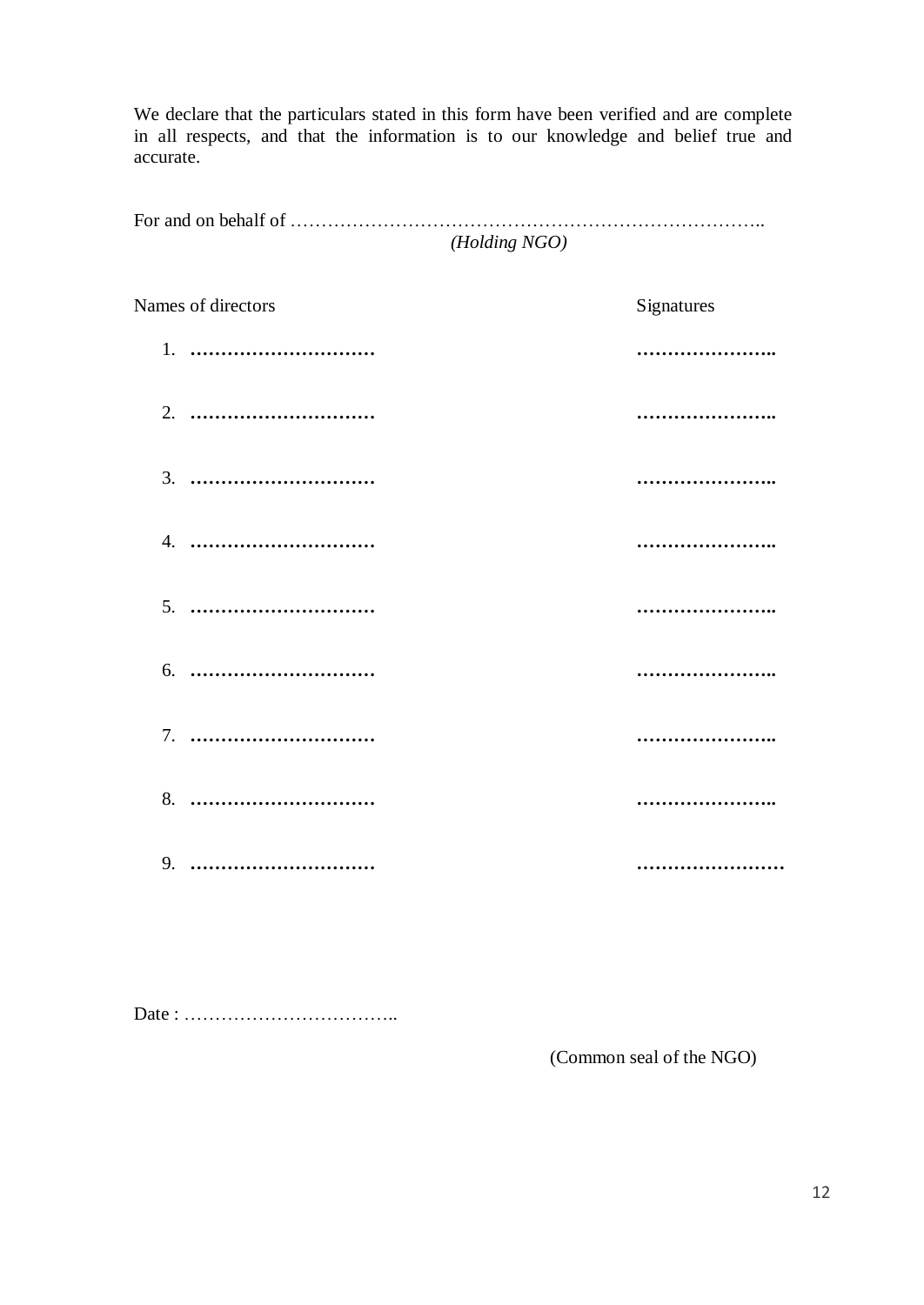We declare that the particulars stated in this form have been verified and are complete in all respects, and that the information is to our knowledge and belief true and accurate.

For and on behalf of ………………………………………………………………….. *(Holding NGO)*

| Names of directors | Signatures |
|--------------------|------------|
| 1.                 |            |
| 2.                 |            |
| 3.                 |            |
|                    |            |
|                    |            |
| 6.                 |            |
|                    |            |
|                    |            |
| 9.                 |            |

Date : ……………………………..

(Common seal of the NGO)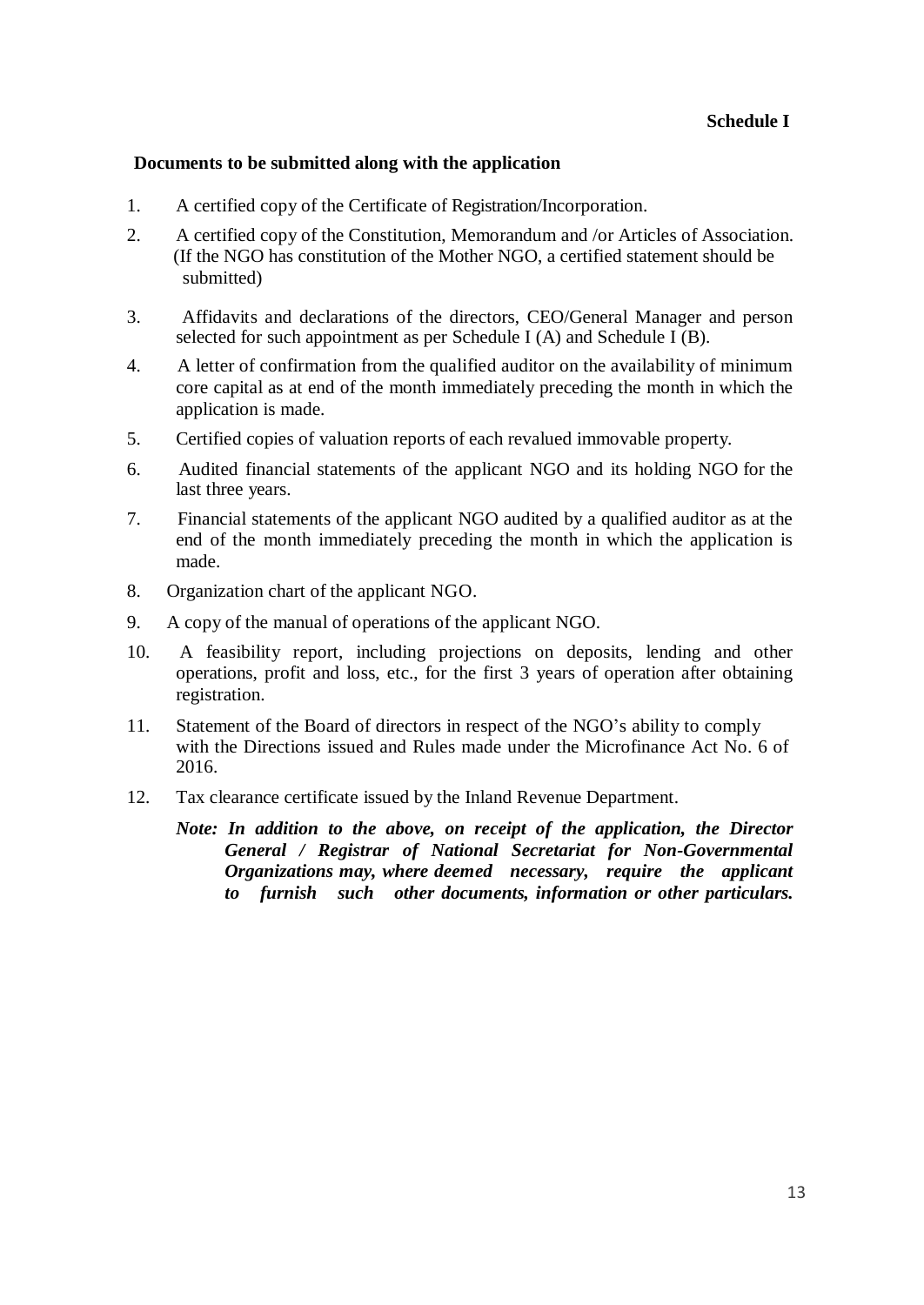### **Documents to be submitted along with the application**

- 1. A certified copy of the Certificate of Registration/Incorporation.
- 2. A certified copy of the Constitution, Memorandum and /or Articles of Association. (If the NGO has constitution of the Mother NGO, a certified statement should be submitted)
- 3. Affidavits and declarations of the directors, CEO/General Manager and person selected for such appointment as per Schedule I  $(A)$  and Schedule I  $(B)$ .
- 4. A letter of confirmation from the qualified auditor on the availability of minimum core capital as at end of the month immediately preceding the month in which the application is made.
- 5. Certified copies of valuation reports of each revalued immovable property.
- 6. Audited financial statements of the applicant NGO and its holding NGO for the last three years.
- 7. Financial statements of the applicant NGO audited by a qualified auditor as at the end of the month immediately preceding the month in which the application is made.
- 8. Organization chart of the applicant NGO.
- 9. A copy of the manual of operations of the applicant NGO.
- 10. A feasibility report, including projections on deposits, lending and other operations, profit and loss, etc., for the first 3 years of operation after obtaining registration.
- 11. Statement of the Board of directors in respect of the NGO's ability to comply with the Directions issued and Rules made under the Microfinance Act No. 6 of 2016.
- 12. Tax clearance certificate issued by the Inland Revenue Department.

*Note: In addition to the above, on receipt of the application, the Director General / Registrar of National Secretariat for Non-Governmental Organizations may, where deemed necessary, require the applicant to furnish such other documents, information or other particulars.*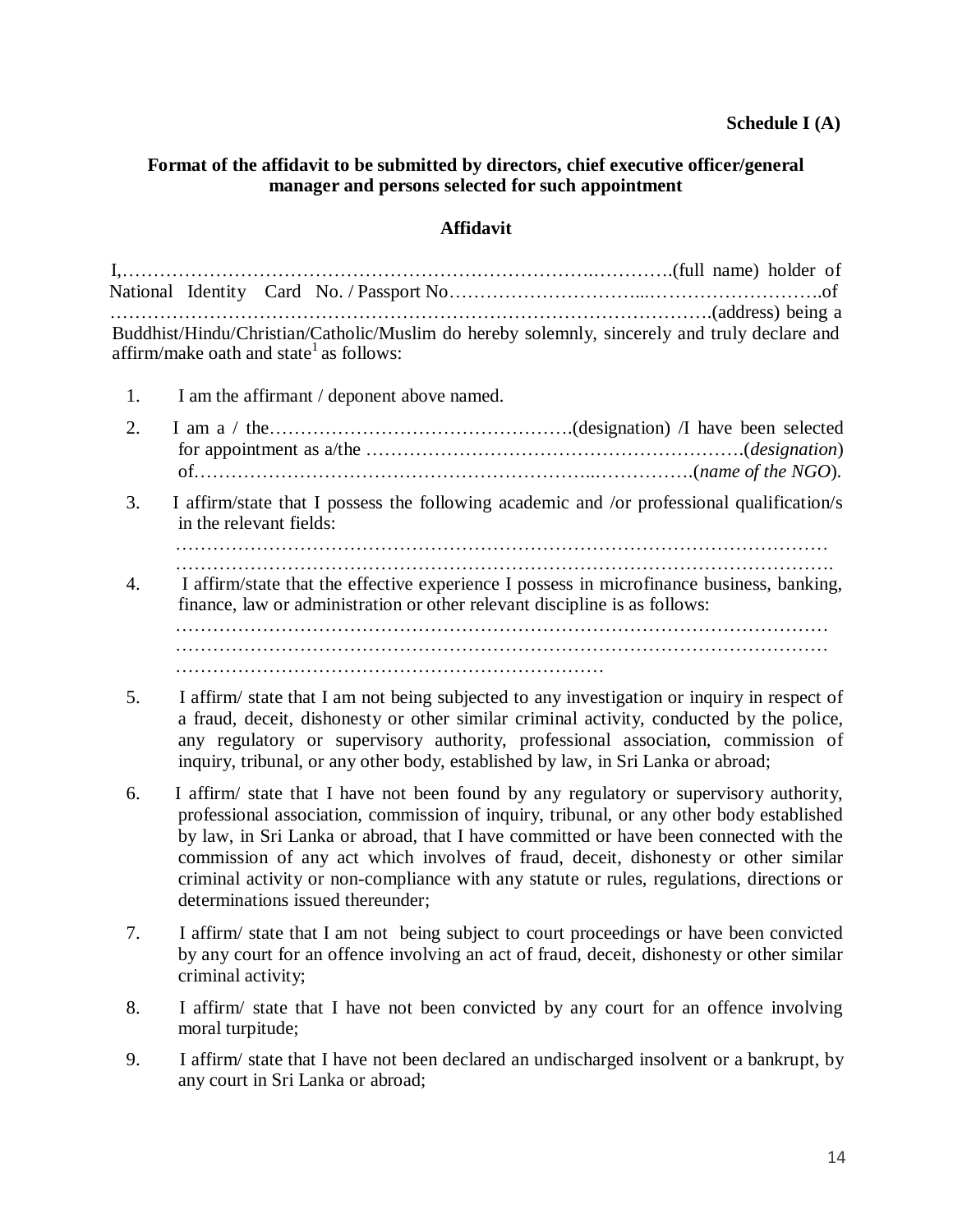### **Schedule I (A)**

#### **Format of the affidavit to be submitted by directors, chief executive officer/general manager and persons selected for such appointment**

## **Affidavit**

| Buddhist/Hindu/Christian/Catholic/Muslim do hereby solemnly, sincerely and truly declare and |  |
|----------------------------------------------------------------------------------------------|--|
| affirm/make oath and state $^1$ as follows:                                                  |  |

- 1. I am the affirmant / deponent above named.
- 2. I am a / the………………………………………….(designation) /I have been selected for appointment as a/the …………………………………………………….(*designation*) of………………………………………………………..…………….(*name of the NGO*).
- 3. I affirm/state that I possess the following academic and /or professional qualification/s in the relevant fields:

- 4. I affirm/state that the effective experience I possess in microfinance business, banking, finance, law or administration or other relevant discipline is as follows: …………………………………………………………………………………………… …………………………………………………………………………………………… ……………………………………………………………
- 5. I affirm/ state that I am not being subjected to any investigation or inquiry in respect of a fraud, deceit, dishonesty or other similar criminal activity, conducted by the police, any regulatory or supervisory authority, professional association, commission of inquiry, tribunal, or any other body, established by law, in Sri Lanka or abroad;
- 6. I affirm/ state that I have not been found by any regulatory or supervisory authority, professional association, commission of inquiry, tribunal, or any other body established by law, in Sri Lanka or abroad, that I have committed or have been connected with the commission of any act which involves of fraud, deceit, dishonesty or other similar criminal activity or non-compliance with any statute or rules, regulations, directions or determinations issued thereunder;
- 7. I affirm/ state that I am not being subject to court proceedings or have been convicted by any court for an offence involving an act of fraud, deceit, dishonesty or other similar criminal activity;
- 8. I affirm/ state that I have not been convicted by any court for an offence involving moral turpitude;
- 9. I affirm/ state that I have not been declared an undischarged insolvent or a bankrupt, by any court in Sri Lanka or abroad;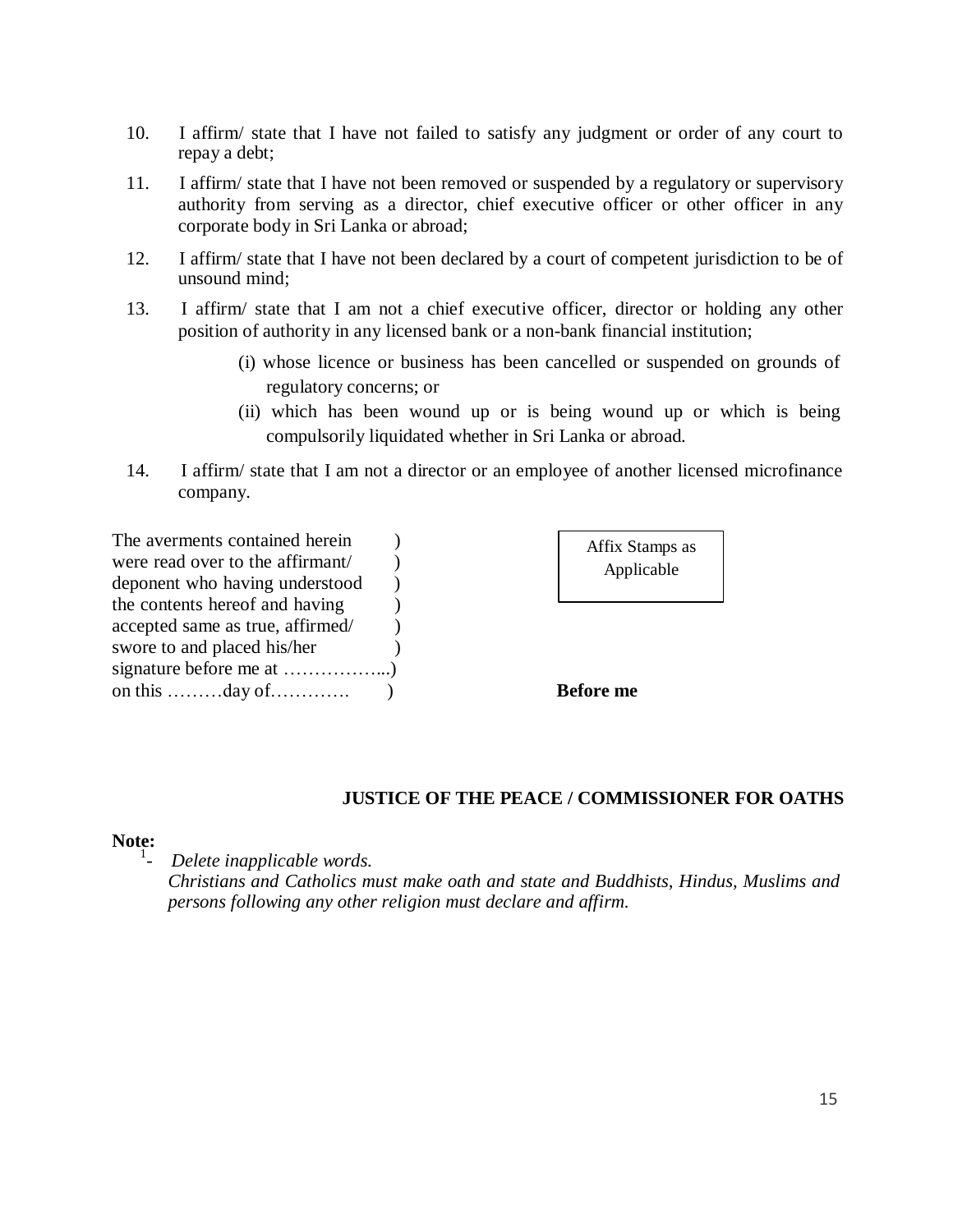- 10. I affirm/ state that I have not failed to satisfy any judgment or order of any court to repay a debt;
- 11. I affirm/ state that I have not been removed or suspended by a regulatory or supervisory authority from serving as a director, chief executive officer or other officer in any corporate body in Sri Lanka or abroad;
- 12. I affirm/ state that I have not been declared by a court of competent jurisdiction to be of unsound mind;
- 13. I affirm/ state that I am not a chief executive officer, director or holding any other position of authority in any licensed bank or a non-bank financial institution;
	- (i) whose licence or business has been cancelled or suspended on grounds of regulatory concerns; or
	- (ii) which has been wound up or is being wound up or which is being compulsorily liquidated whether in Sri Lanka or abroad.
- 14. I affirm/ state that I am not a director or an employee of another licensed microfinance company.

| The averments contained herein                               |  |
|--------------------------------------------------------------|--|
| were read over to the affirmant/                             |  |
| deponent who having understood                               |  |
| the contents hereof and having                               |  |
| accepted same as true, affirmed/                             |  |
| swore to and placed his/her                                  |  |
|                                                              |  |
| on this $\dots \dots \dots \dots$ day of $\dots \dots \dots$ |  |

| Affix Stamps as |  |
|-----------------|--|
| Applicable      |  |

**Before** me

### **JUSTICE OF THE PEACE / COMMISSIONER FOR OATHS**

#### **Note:**

1 *- Delete inapplicable words.*

> *Christians and Catholics must make oath and state and Buddhists, Hindus, Muslims and persons following any other religion must declare and affirm.*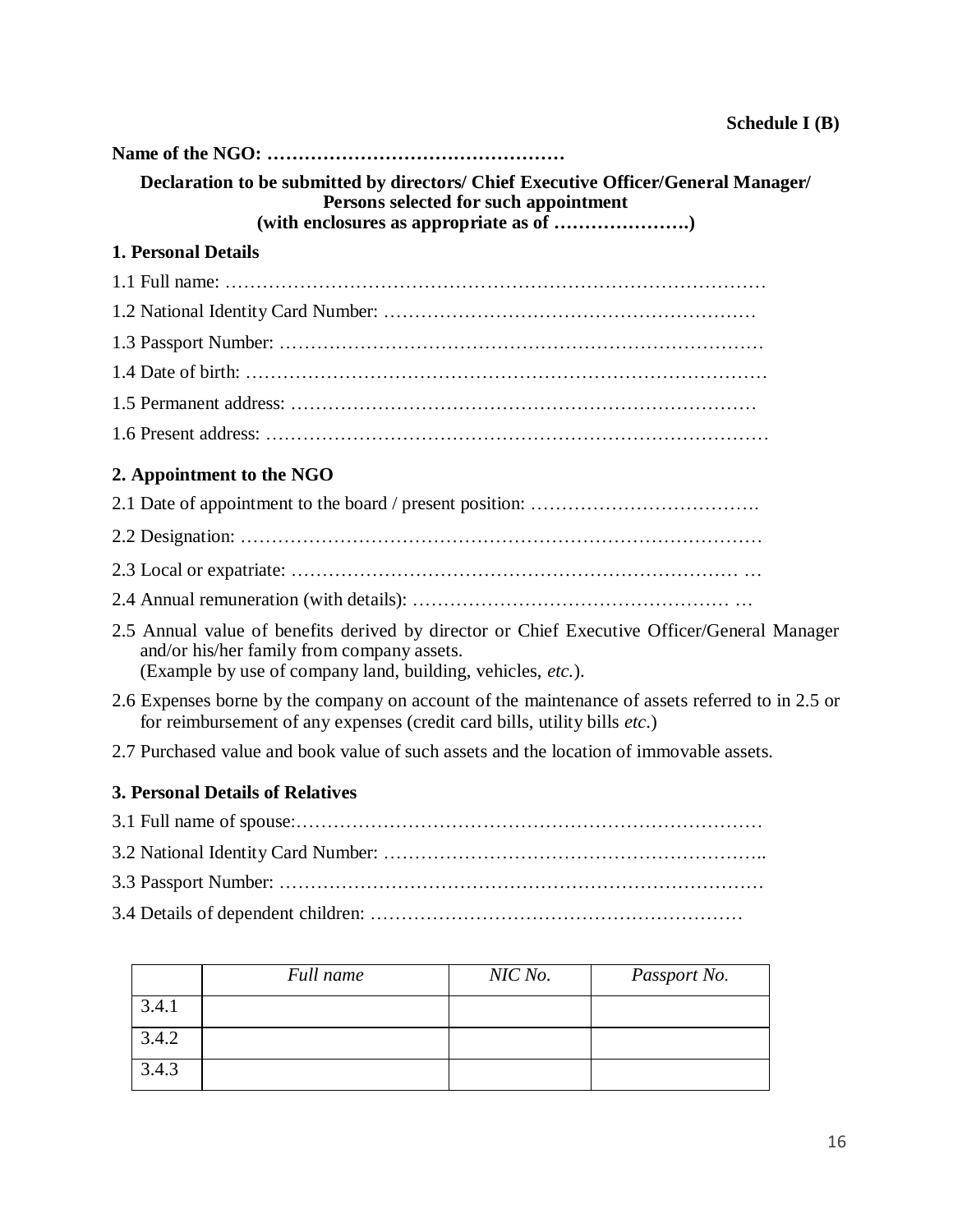| Declaration to be submitted by directors/ Chief Executive Officer/General Manager/<br>Persons selected for such appointment                                                                              |
|----------------------------------------------------------------------------------------------------------------------------------------------------------------------------------------------------------|
|                                                                                                                                                                                                          |
| <b>1. Personal Details</b>                                                                                                                                                                               |
|                                                                                                                                                                                                          |
|                                                                                                                                                                                                          |
|                                                                                                                                                                                                          |
|                                                                                                                                                                                                          |
|                                                                                                                                                                                                          |
|                                                                                                                                                                                                          |
| 2. Appointment to the NGO                                                                                                                                                                                |
|                                                                                                                                                                                                          |
|                                                                                                                                                                                                          |
|                                                                                                                                                                                                          |
|                                                                                                                                                                                                          |
| 2.5 Annual value of benefits derived by director or Chief Executive Officer/General Manager<br>and/or his/her family from company assets.<br>(Example by use of company land, building, vehicles, etc.). |
| 2.6 Expenses borne by the company on account of the maintenance of assets referred to in 2.5 or<br>for reimbursement of any expenses (credit card bills, utility bills etc.)                             |
| 2.7 Purchased value and book value of such assets and the location of immovable assets.                                                                                                                  |
| <b>3. Personal Details of Relatives</b>                                                                                                                                                                  |
|                                                                                                                                                                                                          |
|                                                                                                                                                                                                          |

- 3.3 Passport Number: ……………………………………………………………………
- 3.4 Details of dependent children: ……………………………………………………

|       | Full name | NIC No. | Passport No. |
|-------|-----------|---------|--------------|
| 3.4.1 |           |         |              |
| 3.4.2 |           |         |              |
| 3.4.3 |           |         |              |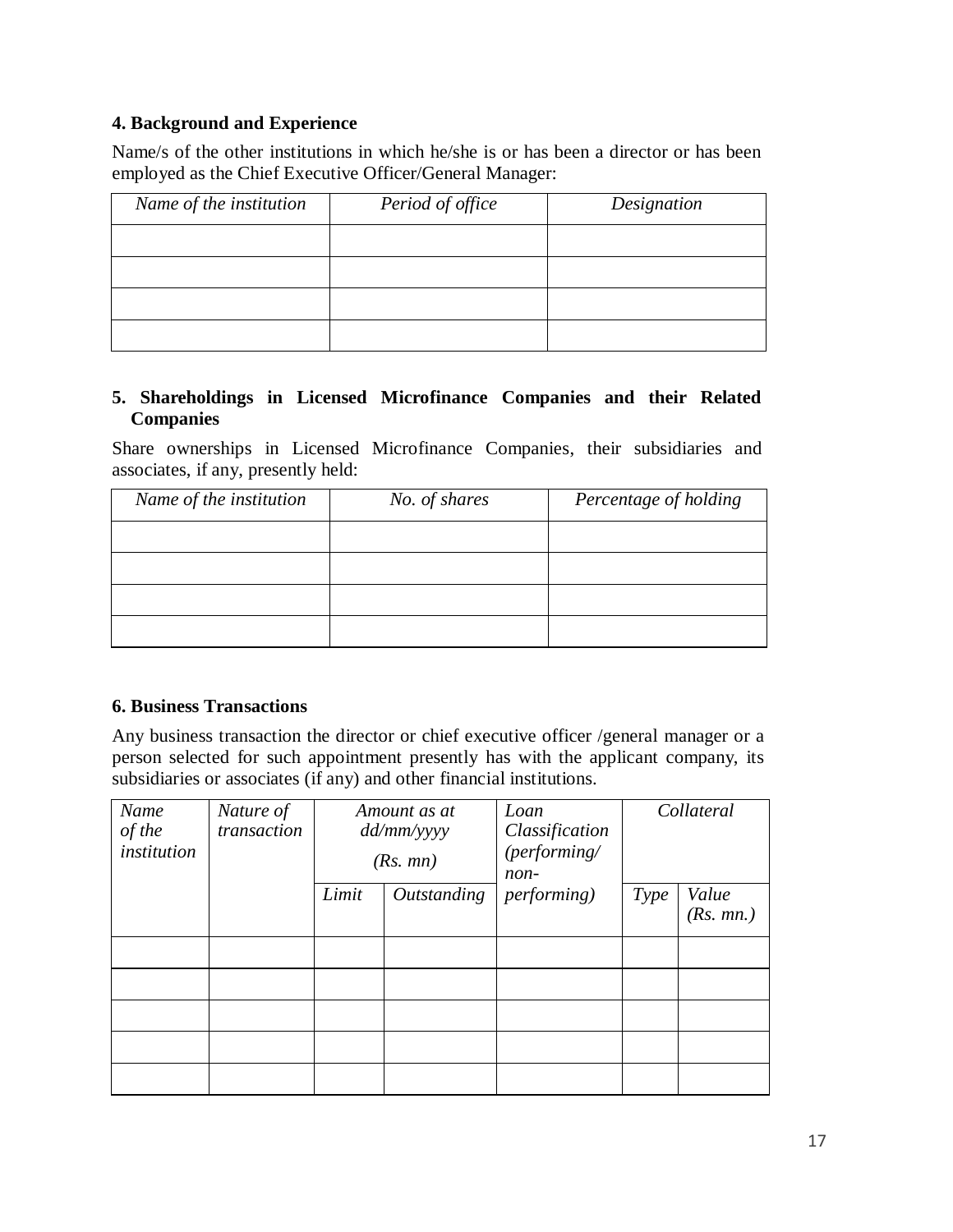# **4. Background and Experience**

Name/s of the other institutions in which he/she is or has been a director or has been employed as the Chief Executive Officer/General Manager:

| Name of the institution | Period of office | Designation |
|-------------------------|------------------|-------------|
|                         |                  |             |
|                         |                  |             |
|                         |                  |             |
|                         |                  |             |

## **5. Shareholdings in Licensed Microfinance Companies and their Related Companies**

Share ownerships in Licensed Microfinance Companies, their subsidiaries and associates, if any, presently held:

| Name of the institution | No. of shares | Percentage of holding |
|-------------------------|---------------|-----------------------|
|                         |               |                       |
|                         |               |                       |
|                         |               |                       |
|                         |               |                       |

### **6. Business Transactions**

Any business transaction the director or chief executive officer /general manager or a person selected for such appointment presently has with the applicant company, its subsidiaries or associates (if any) and other financial institutions.

| Name<br>of the<br>institution | Nature of<br>transaction | Amount as at<br>dd/mm/yyyy<br>(Rs. mn) |                           | Loan<br>Classification<br>(performing/<br>non- | Collateral |           |
|-------------------------------|--------------------------|----------------------------------------|---------------------------|------------------------------------------------|------------|-----------|
|                               |                          | Limit                                  | <i><b>Outstanding</b></i> | <i>performing</i> )                            | Type       | Value     |
|                               |                          |                                        |                           |                                                |            | (Rs. mn.) |
|                               |                          |                                        |                           |                                                |            |           |
|                               |                          |                                        |                           |                                                |            |           |
|                               |                          |                                        |                           |                                                |            |           |
|                               |                          |                                        |                           |                                                |            |           |
|                               |                          |                                        |                           |                                                |            |           |